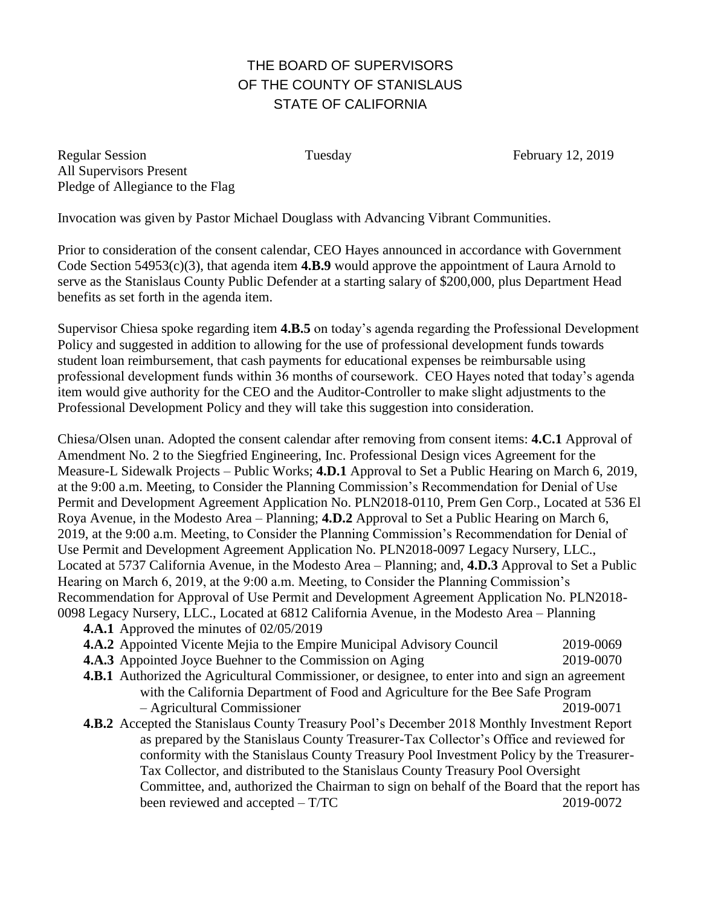## THE BOARD OF SUPERVISORS OF THE COUNTY OF STANISLAUS STATE OF CALIFORNIA

Regular Session Tuesday February 12, 2019 All Supervisors Present Pledge of Allegiance to the Flag

Invocation was given by Pastor Michael Douglass with Advancing Vibrant Communities.

Prior to consideration of the consent calendar, CEO Hayes announced in accordance with Government Code Section 54953(c)(3), that agenda item **4.B.9** would approve the appointment of Laura Arnold to serve as the Stanislaus County Public Defender at a starting salary of \$200,000, plus Department Head benefits as set forth in the agenda item.

Supervisor Chiesa spoke regarding item **4.B.5** on today's agenda regarding the Professional Development Policy and suggested in addition to allowing for the use of professional development funds towards student loan reimbursement, that cash payments for educational expenses be reimbursable using professional development funds within 36 months of coursework. CEO Hayes noted that today's agenda item would give authority for the CEO and the Auditor-Controller to make slight adjustments to the Professional Development Policy and they will take this suggestion into consideration.

Chiesa/Olsen unan. Adopted the consent calendar after removing from consent items: **4.C.1** Approval of Amendment No. 2 to the Siegfried Engineering, Inc. Professional Design vices Agreement for the Measure-L Sidewalk Projects – Public Works; **4.D.1** Approval to Set a Public Hearing on March 6, 2019, at the 9:00 a.m. Meeting, to Consider the Planning Commission's Recommendation for Denial of Use Permit and Development Agreement Application No. PLN2018-0110, Prem Gen Corp., Located at 536 El Roya Avenue, in the Modesto Area – Planning; **4.D.2** Approval to Set a Public Hearing on March 6, 2019, at the 9:00 a.m. Meeting, to Consider the Planning Commission's Recommendation for Denial of Use Permit and Development Agreement Application No. PLN2018-0097 Legacy Nursery, LLC., Located at 5737 California Avenue, in the Modesto Area – Planning; and, **4.D.3** Approval to Set a Public Hearing on March 6, 2019, at the 9:00 a.m. Meeting, to Consider the Planning Commission's Recommendation for Approval of Use Permit and Development Agreement Application No. PLN2018- 0098 Legacy Nursery, LLC., Located at 6812 California Avenue, in the Modesto Area – Planning

**4.A.1** Approved the minutes of 02/05/2019

- **4.A.2** Appointed Vicente Mejia to the Empire Municipal Advisory Council 2019-0069
- **4.A.3** Appointed Joyce Buehner to the Commission on Aging 2019-0070
- **4.B.1** Authorized the Agricultural Commissioner, or designee, to enter into and sign an agreement with the California Department of Food and Agriculture for the Bee Safe Program – Agricultural Commissioner 2019-0071
- **4.B.2** Accepted the Stanislaus County Treasury Pool's December 2018 Monthly Investment Report as prepared by the Stanislaus County Treasurer-Tax Collector's Office and reviewed for conformity with the Stanislaus County Treasury Pool Investment Policy by the Treasurer-Tax Collector, and distributed to the Stanislaus County Treasury Pool Oversight Committee, and, authorized the Chairman to sign on behalf of the Board that the report has been reviewed and accepted – T/TC 2019-0072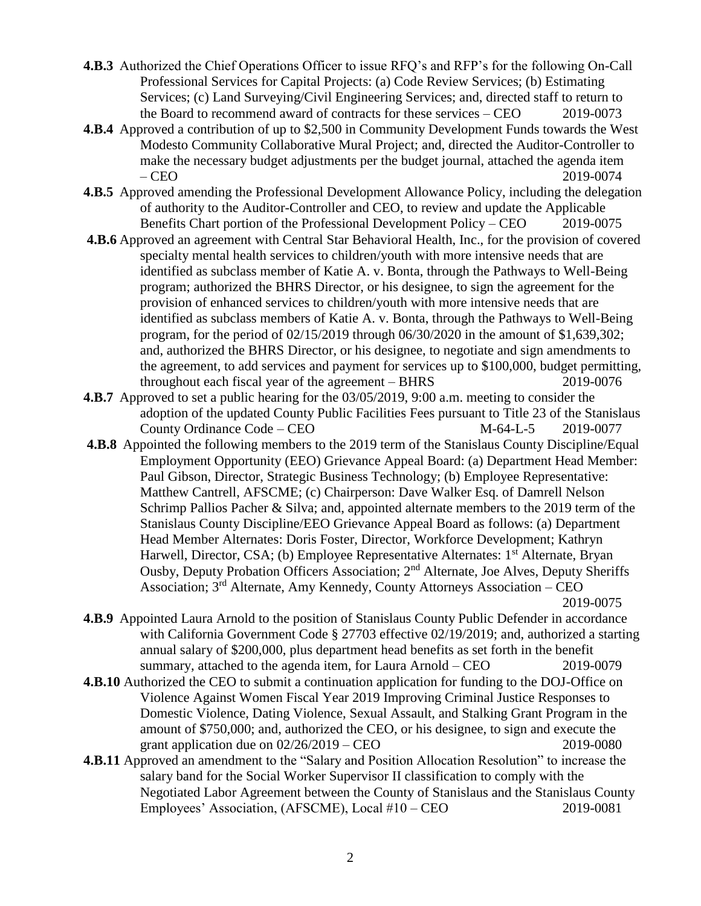- **4.B.3** Authorized the Chief Operations Officer to issue RFQ's and RFP's for the following On-Call Professional Services for Capital Projects: (a) Code Review Services; (b) Estimating Services; (c) Land Surveying/Civil Engineering Services; and, directed staff to return to the Board to recommend award of contracts for these services – CEO 2019-0073
- **4.B.4** Approved a contribution of up to \$2,500 in Community Development Funds towards the West Modesto Community Collaborative Mural Project; and, directed the Auditor-Controller to make the necessary budget adjustments per the budget journal, attached the agenda item – CEO 2019-0074
- **4.B.5** Approved amending the Professional Development Allowance Policy, including the delegation of authority to the Auditor-Controller and CEO, to review and update the Applicable Benefits Chart portion of the Professional Development Policy – CEO 2019-0075
- **4.B.6** Approved an agreement with Central Star Behavioral Health, Inc., for the provision of covered specialty mental health services to children/youth with more intensive needs that are identified as subclass member of Katie A. v. Bonta, through the Pathways to Well-Being program; authorized the BHRS Director, or his designee, to sign the agreement for the provision of enhanced services to children/youth with more intensive needs that are identified as subclass members of Katie A. v. Bonta, through the Pathways to Well-Being program, for the period of 02/15/2019 through 06/30/2020 in the amount of \$1,639,302; and, authorized the BHRS Director, or his designee, to negotiate and sign amendments to the agreement, to add services and payment for services up to \$100,000, budget permitting, throughout each fiscal year of the agreement – BHRS 2019-0076
- **4.B.7** Approved to set a public hearing for the 03/05/2019, 9:00 a.m. meeting to consider the adoption of the updated County Public Facilities Fees pursuant to Title 23 of the Stanislaus County Ordinance Code – CEO M-64-L-5 2019-0077
- **4.B.8** Appointed the following members to the 2019 term of the Stanislaus County Discipline/Equal Employment Opportunity (EEO) Grievance Appeal Board: (a) Department Head Member: Paul Gibson, Director, Strategic Business Technology; (b) Employee Representative: Matthew Cantrell, AFSCME; (c) Chairperson: Dave Walker Esq. of Damrell Nelson Schrimp Pallios Pacher & Silva; and, appointed alternate members to the 2019 term of the Stanislaus County Discipline/EEO Grievance Appeal Board as follows: (a) Department Head Member Alternates: Doris Foster, Director, Workforce Development; Kathryn Harwell, Director, CSA; (b) Employee Representative Alternates: 1<sup>st</sup> Alternate, Bryan Ousby, Deputy Probation Officers Association; 2nd Alternate, Joe Alves, Deputy Sheriffs Association;  $3<sup>rd</sup>$  Alternate, Amy Kennedy, County Attorneys Association – CEO 2019-0075
- **4.B.9** Appointed Laura Arnold to the position of Stanislaus County Public Defender in accordance with California Government Code § 27703 effective 02/19/2019; and, authorized a starting annual salary of \$200,000, plus department head benefits as set forth in the benefit summary, attached to the agenda item, for Laura Arnold – CEO 2019-0079
- **4.B.10** Authorized the CEO to submit a continuation application for funding to the DOJ-Office on Violence Against Women Fiscal Year 2019 Improving Criminal Justice Responses to Domestic Violence, Dating Violence, Sexual Assault, and Stalking Grant Program in the amount of \$750,000; and, authorized the CEO, or his designee, to sign and execute the grant application due on  $02/26/2019 - CEO$  2019-0080
- **4.B.11** Approved an amendment to the "Salary and Position Allocation Resolution" to increase the salary band for the Social Worker Supervisor II classification to comply with the Negotiated Labor Agreement between the County of Stanislaus and the Stanislaus County Employees' Association, (AFSCME), Local #10 – CEO 2019-0081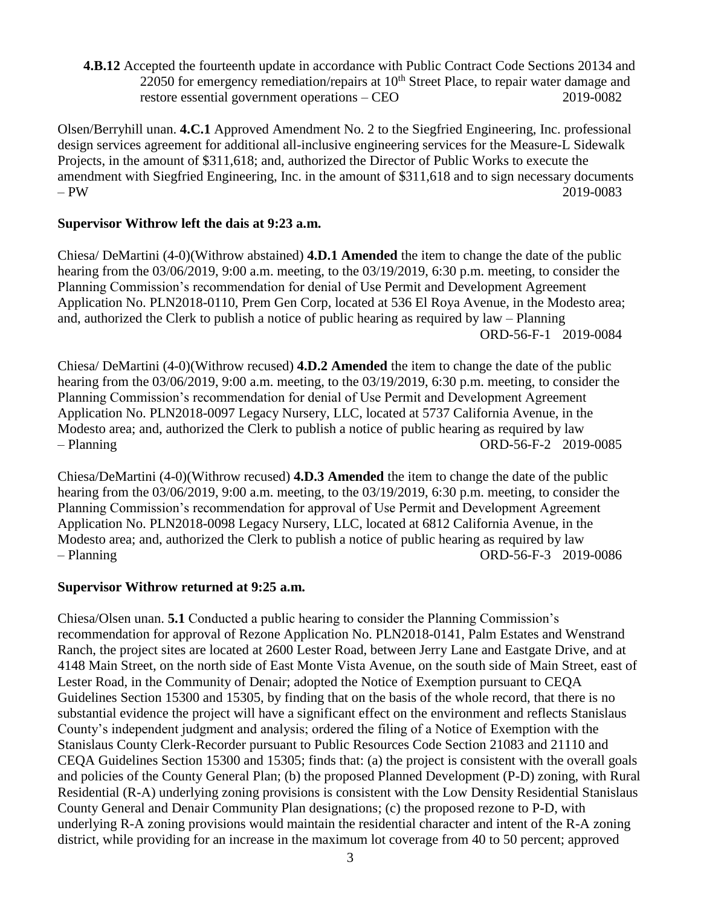**4.B.12** Accepted the fourteenth update in accordance with Public Contract Code Sections 20134 and  $22050$  for emergency remediation/repairs at  $10<sup>th</sup>$  Street Place, to repair water damage and restore essential government operations – CEO 2019-0082

Olsen/Berryhill unan. **4.C.1** Approved Amendment No. 2 to the Siegfried Engineering, Inc. professional design services agreement for additional all-inclusive engineering services for the Measure-L Sidewalk Projects, in the amount of \$311,618; and, authorized the Director of Public Works to execute the amendment with Siegfried Engineering, Inc. in the amount of \$311,618 and to sign necessary documents – PW 2019-0083

## **Supervisor Withrow left the dais at 9:23 a.m.**

Chiesa/ DeMartini (4-0)(Withrow abstained) **4.D.1 Amended** the item to change the date of the public hearing from the 03/06/2019, 9:00 a.m. meeting, to the 03/19/2019, 6:30 p.m. meeting, to consider the Planning Commission's recommendation for denial of Use Permit and Development Agreement Application No. PLN2018-0110, Prem Gen Corp, located at 536 El Roya Avenue, in the Modesto area; and, authorized the Clerk to publish a notice of public hearing as required by law – Planning ORD-56-F-1 2019-0084

Chiesa/ DeMartini (4-0)(Withrow recused) **4.D.2 Amended** the item to change the date of the public hearing from the 03/06/2019, 9:00 a.m. meeting, to the 03/19/2019, 6:30 p.m. meeting, to consider the Planning Commission's recommendation for denial of Use Permit and Development Agreement Application No. PLN2018-0097 Legacy Nursery, LLC, located at 5737 California Avenue, in the Modesto area; and, authorized the Clerk to publish a notice of public hearing as required by law – Planning ORD-56-F-2 2019-0085

Chiesa/DeMartini (4-0)(Withrow recused) **4.D.3 Amended** the item to change the date of the public hearing from the 03/06/2019, 9:00 a.m. meeting, to the 03/19/2019, 6:30 p.m. meeting, to consider the Planning Commission's recommendation for approval of Use Permit and Development Agreement Application No. PLN2018-0098 Legacy Nursery, LLC, located at 6812 California Avenue, in the Modesto area; and, authorized the Clerk to publish a notice of public hearing as required by law – Planning ORD-56-F-3 2019-0086

## **Supervisor Withrow returned at 9:25 a.m.**

Chiesa/Olsen unan. **5.1** Conducted a public hearing to consider the Planning Commission's recommendation for approval of Rezone Application No. PLN2018-0141, Palm Estates and Wenstrand Ranch, the project sites are located at 2600 Lester Road, between Jerry Lane and Eastgate Drive, and at 4148 Main Street, on the north side of East Monte Vista Avenue, on the south side of Main Street, east of Lester Road, in the Community of Denair; adopted the Notice of Exemption pursuant to CEQA Guidelines Section 15300 and 15305, by finding that on the basis of the whole record, that there is no substantial evidence the project will have a significant effect on the environment and reflects Stanislaus County's independent judgment and analysis; ordered the filing of a Notice of Exemption with the Stanislaus County Clerk-Recorder pursuant to Public Resources Code Section 21083 and 21110 and CEQA Guidelines Section 15300 and 15305; finds that: (a) the project is consistent with the overall goals and policies of the County General Plan; (b) the proposed Planned Development (P-D) zoning, with Rural Residential (R-A) underlying zoning provisions is consistent with the Low Density Residential Stanislaus County General and Denair Community Plan designations; (c) the proposed rezone to P-D, with underlying R-A zoning provisions would maintain the residential character and intent of the R-A zoning district, while providing for an increase in the maximum lot coverage from 40 to 50 percent; approved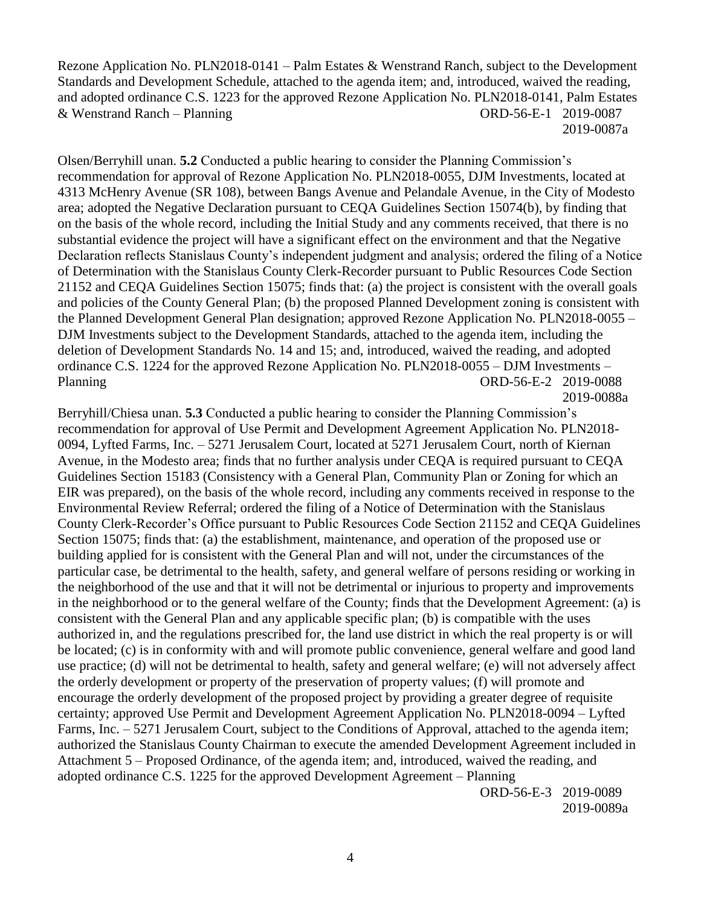Rezone Application No. PLN2018-0141 – Palm Estates & Wenstrand Ranch, subject to the Development Standards and Development Schedule, attached to the agenda item; and, introduced, waived the reading, and adopted ordinance C.S. 1223 for the approved Rezone Application No. PLN2018-0141, Palm Estates & Wenstrand Ranch – Planning ORD-56-E-1 2019-0087 2019-0087a

Olsen/Berryhill unan. **5.2** Conducted a public hearing to consider the Planning Commission's recommendation for approval of Rezone Application No. PLN2018-0055, DJM Investments, located at 4313 McHenry Avenue (SR 108), between Bangs Avenue and Pelandale Avenue, in the City of Modesto area; adopted the Negative Declaration pursuant to CEQA Guidelines Section 15074(b), by finding that on the basis of the whole record, including the Initial Study and any comments received, that there is no substantial evidence the project will have a significant effect on the environment and that the Negative Declaration reflects Stanislaus County's independent judgment and analysis; ordered the filing of a Notice of Determination with the Stanislaus County Clerk-Recorder pursuant to Public Resources Code Section 21152 and CEQA Guidelines Section 15075; finds that: (a) the project is consistent with the overall goals and policies of the County General Plan; (b) the proposed Planned Development zoning is consistent with the Planned Development General Plan designation; approved Rezone Application No. PLN2018-0055 – DJM Investments subject to the Development Standards, attached to the agenda item, including the deletion of Development Standards No. 14 and 15; and, introduced, waived the reading, and adopted ordinance C.S. 1224 for the approved Rezone Application No. PLN2018-0055 – DJM Investments – Planning ORD-56-E-2 2019-0088 2019-0088a

Berryhill/Chiesa unan. **5.3** Conducted a public hearing to consider the Planning Commission's recommendation for approval of Use Permit and Development Agreement Application No. PLN2018- 0094, Lyfted Farms, Inc. – 5271 Jerusalem Court, located at 5271 Jerusalem Court, north of Kiernan Avenue, in the Modesto area; finds that no further analysis under CEQA is required pursuant to CEQA Guidelines Section 15183 (Consistency with a General Plan, Community Plan or Zoning for which an EIR was prepared), on the basis of the whole record, including any comments received in response to the Environmental Review Referral; ordered the filing of a Notice of Determination with the Stanislaus County Clerk-Recorder's Office pursuant to Public Resources Code Section 21152 and CEQA Guidelines Section 15075; finds that: (a) the establishment, maintenance, and operation of the proposed use or building applied for is consistent with the General Plan and will not, under the circumstances of the particular case, be detrimental to the health, safety, and general welfare of persons residing or working in the neighborhood of the use and that it will not be detrimental or injurious to property and improvements in the neighborhood or to the general welfare of the County; finds that the Development Agreement: (a) is consistent with the General Plan and any applicable specific plan; (b) is compatible with the uses authorized in, and the regulations prescribed for, the land use district in which the real property is or will be located; (c) is in conformity with and will promote public convenience, general welfare and good land use practice; (d) will not be detrimental to health, safety and general welfare; (e) will not adversely affect the orderly development or property of the preservation of property values; (f) will promote and encourage the orderly development of the proposed project by providing a greater degree of requisite certainty; approved Use Permit and Development Agreement Application No. PLN2018-0094 – Lyfted Farms, Inc. – 5271 Jerusalem Court, subject to the Conditions of Approval, attached to the agenda item; authorized the Stanislaus County Chairman to execute the amended Development Agreement included in Attachment 5 – Proposed Ordinance, of the agenda item; and, introduced, waived the reading, and adopted ordinance C.S. 1225 for the approved Development Agreement – Planning

ORD-56-E-3 2019-0089 2019-0089a